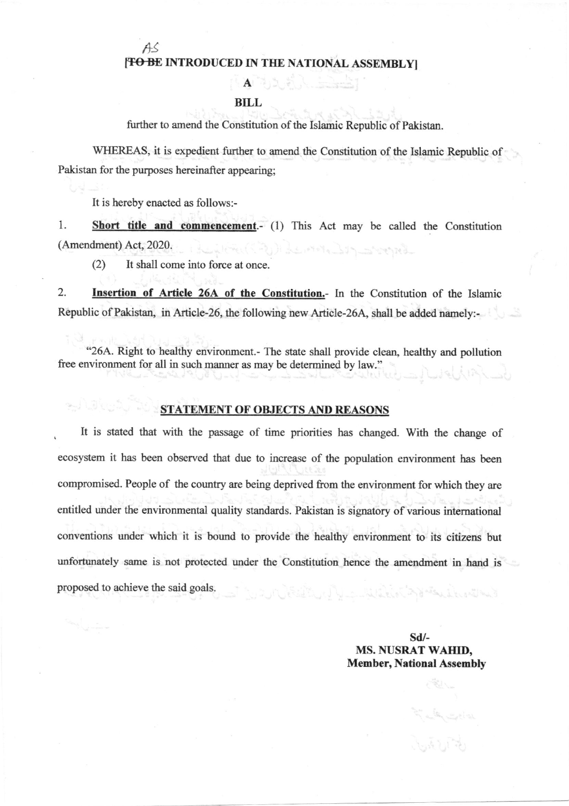fts

### [TO BE INTRODUCED IN THE NATIONAL ASSEMBLY]

 $A = 2$ 

#### BILL

firther to amend the Constitution of the Islamic Republic of Pakistan.

WHEREAS, it is expedient further to amend the Constitution of the Islamic Republic of Pakistan for the purposes hereinafter appearing;

It is hereby enacted as follows:-

1. Short title and commencement.- (1) This Act may be called the Constitution (Amendment) Act,2020. المتحدث والمرابط والمستنبط المرابة بالمنافذ

(2) It shall come into force at once.

2. Insertion of Article 26A of the Constitution.- In the Constitution of the Islamic Republic of Pakistan, in Article-26, the following new Article-26A, shall be added namely:-

"26A. Right to healthy environment.- The state shall provide clean, healthy and pollution free environment for all in such manner as may be determined by law."

#### STATEMENT OF OBJECTS AND REASONS

It is stated that with the passage of time priorities has changed. With the change of . ecosystem it has been observed that due to increase of the population environment bas been compromised. People of the country are being deprived from the environment for which they are entitled under the environmental quality standards. Pakistan is signatory of various intemational conventions under which it is bomd to provide the healthy environment to its citizens but unfortunately same is not protected under the Constitution hence the amendment in hand is proposed to achieve the said goals. يدا أين تان الاكتراك الأمان المحيا بالمسابقة للديدة والمستقاد المسابقة المسابقة المعاملة المسابقة والمسابقة المسابقة

> sd/- MS. NUSRAT WAHID, Member, National Assenbly

> > $\frac{1}{2} \sum_{i=1}^{n} \frac{1}{i!} \sum_{i=1}^{n} \frac{1}{i!} \sum_{i=1}^{n} \frac{1}{i!} \sum_{i=1}^{n} \frac{1}{i!} \sum_{i=1}^{n} \frac{1}{i!} \sum_{i=1}^{n} \frac{1}{i!} \sum_{i=1}^{n} \frac{1}{i!} \sum_{i=1}^{n} \frac{1}{i!} \sum_{i=1}^{n} \frac{1}{i!} \sum_{i=1}^{n} \frac{1}{i!} \sum_{i=1}^{n} \frac{1}{i!} \sum_{i=1}^{n} \frac{1}{$